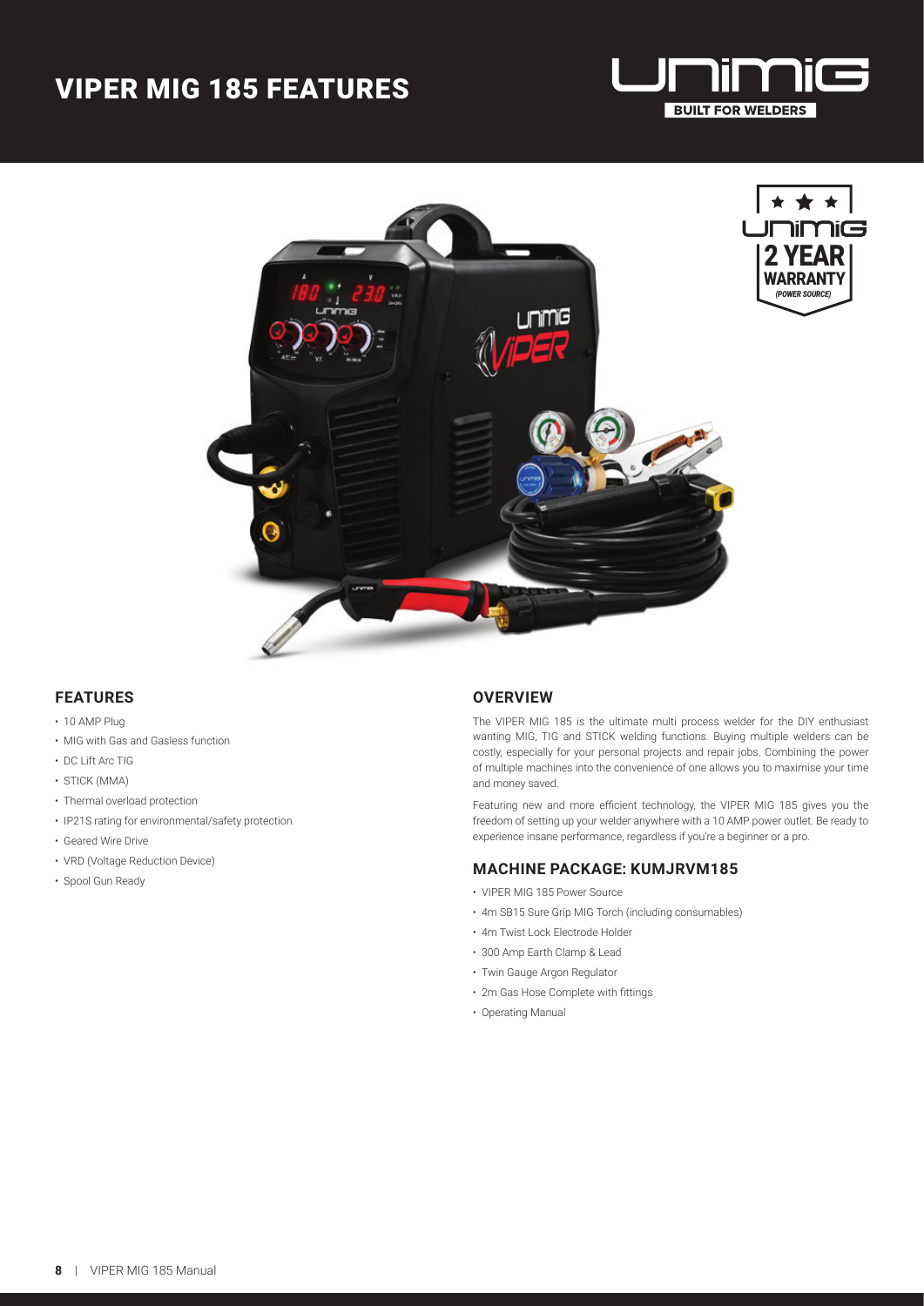## VIPER MIG 185 FEATURES



2 YEAR **WARRANTY** *(POWER SOURCE)*

**hiŒ** 



### **FEATURES**

- 10 AMP Plug
- MIG with Gas and Gasless function
- DC Lift Arc TIG
- STICK (MMA)
- Thermal overload protection
- IP21S rating for environmental/safety protection
- Geared Wire Drive
- VRD (Voltage Reduction Device)
- Spool Gun Ready

#### **OVERVIEW**

The VIPER MIG 185 is the ultimate multi process welder for the DIY enthusiast wanting MIG, TIG and STICK welding functions. Buying multiple welders can be costly, especially for your personal projects and repair jobs. Combining the power of multiple machines into the convenience of one allows you to maximise your time and money saved.

Featuring new and more efficient technology, the VIPER MIG 185 gives you the freedom of setting up your welder anywhere with a 10 AMP power outlet. Be ready to experience insane performance, regardless if you're a beginner or a pro.

#### **MACHINE PACKAGE: KUMJRVM185**

- VIPER MIG 185 Power Source
- 4m SB15 Sure Grip MIG Torch (including consumables)
- 4m Twist Lock Electrode Holder
- 300 Amp Earth Clamp & Lead
- Twin Gauge Argon Regulator
- 2m Gas Hose Complete with fittings
- Operating Manual